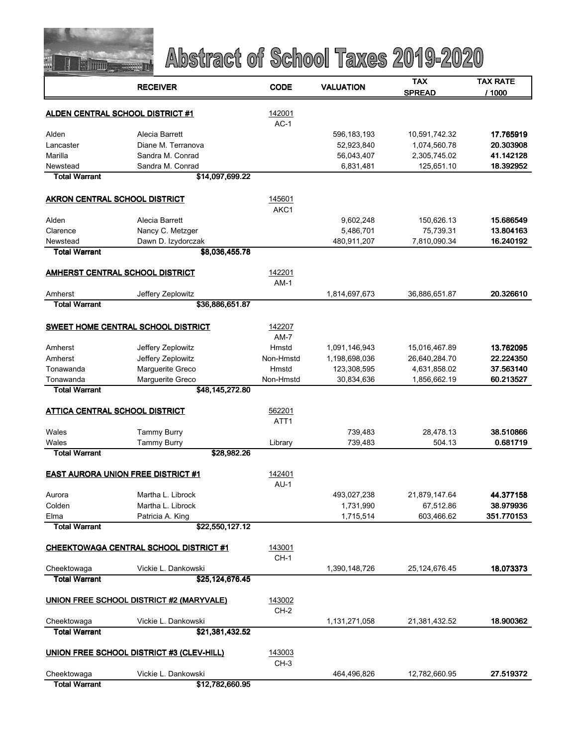

|                                       | <b>RECEIVER</b>                               | <b>CODE</b>      | <b>VALUATION</b> | TAX           | <b>TAX RATE</b> |
|---------------------------------------|-----------------------------------------------|------------------|------------------|---------------|-----------------|
|                                       |                                               |                  |                  | <b>SPREAD</b> | / 1000          |
|                                       | <b>ALDEN CENTRAL SCHOOL DISTRICT #1</b>       | 142001           |                  |               |                 |
|                                       |                                               | $AC-1$           |                  |               |                 |
| Alden                                 | Alecia Barrett                                |                  | 596, 183, 193    | 10,591,742.32 | 17.765919       |
| Lancaster                             | Diane M. Terranova                            |                  | 52,923,840       | 1,074,560.78  | 20.303908       |
| Marilla                               | Sandra M. Conrad                              |                  | 56,043,407       | 2,305,745.02  | 41.142128       |
| Newstead                              | Sandra M. Conrad                              |                  | 6,831,481        | 125,651.10    | 18.392952       |
| <b>Total Warrant</b>                  | \$14,097,699.22                               |                  |                  |               |                 |
| AKRON CENTRAL SCHOOL DISTRICT         |                                               | 145601           |                  |               |                 |
|                                       |                                               | AKC1             |                  |               |                 |
| Alden                                 | Alecia Barrett                                |                  | 9,602,248        | 150,626.13    | 15.686549       |
| Clarence                              | Nancy C. Metzger                              |                  | 5,486,701        | 75,739.31     | 13.804163       |
| Newstead                              | Dawn D. Izydorczak                            |                  | 480,911,207      | 7,810,090.34  | 16.240192       |
| <b>Total Warrant</b>                  | \$8,036,455.78                                |                  |                  |               |                 |
|                                       | AMHERST CENTRAL SCHOOL DISTRICT               | 142201           |                  |               |                 |
|                                       |                                               | $AM-1$           |                  |               |                 |
| Amherst                               | Jeffery Zeplowitz                             |                  | 1,814,697,673    | 36,886,651.87 | 20.326610       |
| <b>Total Warrant</b>                  | \$36,886,651.87                               |                  |                  |               |                 |
|                                       |                                               |                  |                  |               |                 |
|                                       | <b>SWEET HOME CENTRAL SCHOOL DISTRICT</b>     | 142207<br>$AM-7$ |                  |               |                 |
| Amherst                               | Jeffery Zeplowitz                             | Hmstd            | 1,091,146,943    | 15,016,467.89 | 13.762095       |
| Amherst                               | Jeffery Zeplowitz                             | Non-Hmstd        | 1,198,698,036    | 26,640,284.70 | 22.224350       |
| Tonawanda                             | Marguerite Greco                              | Hmstd            | 123,308,595      | 4,631,858.02  | 37.563140       |
| Tonawanda                             | Marguerite Greco                              | Non-Hmstd        | 30,834,636       | 1,856,662.19  | 60.213527       |
| <b>Total Warrant</b>                  | \$48,145,272.80                               |                  |                  |               |                 |
|                                       |                                               |                  |                  |               |                 |
| <b>ATTICA CENTRAL SCHOOL DISTRICT</b> |                                               | 562201           |                  |               |                 |
| Wales                                 | <b>Tammy Burry</b>                            | ATT <sub>1</sub> | 739,483          | 28,478.13     | 38.510866       |
| Wales                                 | <b>Tammy Burry</b>                            | Library          | 739,483          | 504.13        | 0.681719        |
| <b>Total Warrant</b>                  | \$28,982.26                                   |                  |                  |               |                 |
|                                       |                                               |                  |                  |               |                 |
|                                       | <b>EAST AURORA UNION FREE DISTRICT #1</b>     | 142401           |                  |               |                 |
|                                       |                                               | $AU-1$           |                  |               |                 |
| Aurora                                | Martha L. Librock                             |                  | 493,027,238      | 21,879,147.64 | 44.377158       |
| Colden                                | Martha L. Librock<br>Patricia A. King         |                  | 1,731,990        | 67,512.86     | 38.979936       |
| Elma<br><b>Total Warrant</b>          | \$22,550,127.12                               |                  | 1,715,514        | 603,466.62    | 351.770153      |
|                                       |                                               |                  |                  |               |                 |
|                                       | <b>CHEEKTOWAGA CENTRAL SCHOOL DISTRICT #1</b> | 143001           |                  |               |                 |
|                                       |                                               | $CH-1$           |                  |               |                 |
| Cheektowaga                           | Vickie L. Dankowski                           |                  | 1,390,148,726    | 25,124,676.45 | 18.073373       |
| <b>Total Warrant</b>                  | \$25,124,676.45                               |                  |                  |               |                 |
|                                       | UNION FREE SCHOOL DISTRICT #2 (MARYVALE)      | 143002           |                  |               |                 |
|                                       |                                               | $CH-2$           |                  |               |                 |
| Cheektowaga                           | Vickie L. Dankowski                           |                  | 1,131,271,058    | 21,381,432.52 | 18.900362       |
| <b>Total Warrant</b>                  | \$21,381,432.52                               |                  |                  |               |                 |
|                                       | UNION FREE SCHOOL DISTRICT #3 (CLEV-HILL)     | 143003           |                  |               |                 |
|                                       |                                               | $CH-3$           |                  |               |                 |
| Cheektowaga                           | Vickie L. Dankowski                           |                  | 464,496,826      | 12,782,660.95 | 27.519372       |
| <b>Total Warrant</b>                  | \$12.782.660.95                               |                  |                  |               |                 |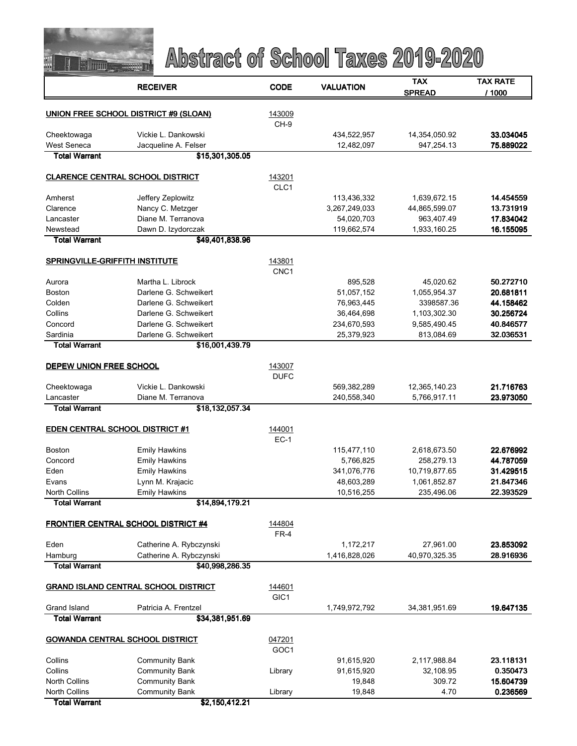

|                                             | <b>RECEIVER</b>                              | <b>CODE</b> | <b>VALUATION</b> | TAX                         | TAX RATE  |
|---------------------------------------------|----------------------------------------------|-------------|------------------|-----------------------------|-----------|
|                                             |                                              |             |                  | <b>SPREAD</b>               | / 1000    |
|                                             |                                              |             |                  |                             |           |
|                                             | <b>UNION FREE SCHOOL DISTRICT #9 (SLOAN)</b> | 143009      |                  |                             |           |
|                                             |                                              | CH-9        |                  |                             |           |
| Cheektowaga                                 | Vickie L. Dankowski                          |             | 434,522,957      | 14,354,050.92<br>947,254.13 | 33.034045 |
| <b>West Seneca</b><br><b>Total Warrant</b>  | Jacqueline A. Felser<br>\$15,301,305.05      |             | 12,482,097       |                             | 75.889022 |
|                                             |                                              |             |                  |                             |           |
|                                             | <b>CLARENCE CENTRAL SCHOOL DISTRICT</b>      | 143201      |                  |                             |           |
|                                             |                                              | CLC1        |                  |                             |           |
| Amherst                                     | Jeffery Zeplowitz                            |             | 113,436,332      | 1,639,672.15                | 14.454559 |
| Clarence                                    | Nancy C. Metzger                             |             | 3,267,249,033    | 44,865,599.07               | 13.731919 |
| Lancaster                                   | Diane M. Terranova                           |             | 54,020,703       | 963,407.49                  | 17.834042 |
| Newstead                                    | Dawn D. Izydorczak                           |             | 119,662,574      | 1,933,160.25                | 16.155095 |
| Total Warrant                               | \$49,401,838.96                              |             |                  |                             |           |
|                                             |                                              |             |                  |                             |           |
| <b>SPRINGVILLE-GRIFFITH INSTITUTE</b>       |                                              | 143801      |                  |                             |           |
|                                             |                                              | CNC1        |                  |                             |           |
| Aurora                                      | Martha L. Librock                            |             | 895,528          | 45,020.62                   | 50.272710 |
| Boston                                      | Darlene G. Schweikert                        |             | 51,057,152       | 1,055,954.37                | 20.681811 |
| Colden                                      | Darlene G. Schweikert                        |             | 76,963,445       | 3398587.36                  | 44.158462 |
| Collins                                     | Darlene G. Schweikert                        |             | 36,464,698       | 1,103,302.30                | 30.256724 |
| Concord                                     | Darlene G. Schweikert                        |             | 234,670,593      | 9,585,490.45                | 40.846577 |
| Sardinia                                    | Darlene G. Schweikert                        |             | 25,379,923       | 813,084.69                  | 32.036531 |
| <b>Total Warrant</b>                        | \$16,001,439.79                              |             |                  |                             |           |
| <b>DEPEW UNION FREE SCHOOL</b>              |                                              | 143007      |                  |                             |           |
|                                             |                                              | <b>DUFC</b> |                  |                             |           |
| Cheektowaga                                 | Vickie L. Dankowski                          |             | 569,382,289      | 12,365,140.23               | 21.716763 |
| Lancaster                                   | Diane M. Terranova                           |             | 240,558,340      | 5,766,917.11                | 23.973050 |
| Total Warrant                               | \$18,132,057.34                              |             |                  |                             |           |
|                                             |                                              |             |                  |                             |           |
| <b>EDEN CENTRAL SCHOOL DISTRICT #1</b>      |                                              | 144001      |                  |                             |           |
|                                             |                                              | $EC-1$      |                  |                             |           |
| <b>Boston</b>                               | <b>Emily Hawkins</b>                         |             | 115,477,110      | 2,618,673.50                | 22.676992 |
| Concord                                     | <b>Emily Hawkins</b>                         |             | 5,766,825        | 258,279.13                  | 44.787059 |
| Eden                                        | <b>Emily Hawkins</b>                         |             | 341,076,776      | 10,719,877.65               | 31.429515 |
| Evans                                       | Lynn M. Krajacic                             |             | 48,603,289       | 1,061,852.87                | 21.847346 |
| <b>North Collins</b>                        | <b>Emily Hawkins</b>                         |             | 10,516,255       | 235,496.06                  | 22.393529 |
| <b>Total Warrant</b>                        | \$14,894,179.21                              |             |                  |                             |           |
|                                             |                                              |             |                  |                             |           |
|                                             | <b>FRONTIER CENTRAL SCHOOL DISTRICT #4</b>   | 144804      |                  |                             |           |
|                                             |                                              | $FR-4$      |                  |                             |           |
| Eden                                        | Catherine A. Rybczynski                      |             | 1,172,217        | 27,961.00                   | 23.853092 |
| Hamburg                                     | Catherine A. Rybczynski                      |             | 1,416,828,026    | 40,970,325.35               | 28.916936 |
| <b>Total Warrant</b>                        | \$40,998,286.35                              |             |                  |                             |           |
|                                             |                                              | 144601      |                  |                             |           |
| <b>GRAND ISLAND CENTRAL SCHOOL DISTRICT</b> |                                              | GIC1        |                  |                             |           |
| Grand Island                                | Patricia A. Frentzel                         |             | 1,749,972,792    | 34,381,951.69               | 19.647135 |
| <b>Total Warrant</b>                        | \$34,381,951.69                              |             |                  |                             |           |
|                                             |                                              |             |                  |                             |           |
| <b>GOWANDA CENTRAL SCHOOL DISTRICT</b>      |                                              | 047201      |                  |                             |           |
|                                             |                                              | GOC1        |                  |                             |           |
| Collins                                     | <b>Community Bank</b>                        |             | 91,615,920       | 2,117,988.84                | 23.118131 |
| Collins                                     | <b>Community Bank</b>                        | Library     | 91,615,920       | 32,108.95                   | 0.350473  |
| <b>North Collins</b>                        | <b>Community Bank</b>                        |             | 19,848           | 309.72                      | 15.604739 |
| <b>North Collins</b>                        | <b>Community Bank</b>                        | Library     | 19,848           | 4.70                        | 0.236569  |
| <b>Total Warrant</b>                        | \$2,150,412.21                               |             |                  |                             |           |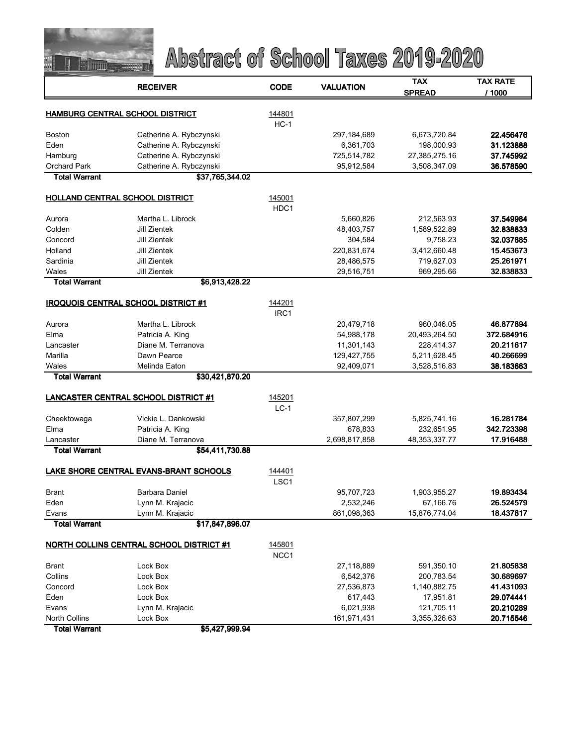

|                                        | <b>RECEIVER</b>                                 | <b>CODE</b>      | <b>VALUATION</b>       | <b>TAX</b>                 | <b>TAX RATE</b>         |
|----------------------------------------|-------------------------------------------------|------------------|------------------------|----------------------------|-------------------------|
|                                        |                                                 |                  |                        | <b>SPREAD</b>              | /1000                   |
|                                        |                                                 |                  |                        |                            |                         |
|                                        | HAMBURG CENTRAL SCHOOL DISTRICT                 | 144801<br>$HC-1$ |                        |                            |                         |
| <b>Boston</b>                          | Catherine A. Rybczynski                         |                  | 297,184,689            | 6,673,720.84               | 22.456476               |
| Eden                                   | Catherine A. Rybczynski                         |                  | 6,361,703              | 198,000.93                 | 31.123888               |
| Hamburg                                | Catherine A. Rybczynski                         |                  | 725,514,782            | 27,385,275.16              | 37.745992               |
| <b>Orchard Park</b>                    | Catherine A. Rybczynski                         |                  | 95,912,584             | 3,508,347.09               | 36.578590               |
| <b>Total Warrant</b>                   | \$37,765,344.02                                 |                  |                        |                            |                         |
|                                        |                                                 |                  |                        |                            |                         |
|                                        | <b>HOLLAND CENTRAL SCHOOL DISTRICT</b>          | 145001           |                        |                            |                         |
|                                        |                                                 | HDC1             |                        |                            |                         |
| Aurora                                 | Martha L. Librock                               |                  | 5,660,826              | 212,563.93                 | 37.549984               |
| Colden                                 | Jill Zientek                                    |                  | 48,403,757             | 1,589,522.89               | 32.838833               |
| Concord                                | Jill Zientek                                    |                  | 304,584                | 9,758.23                   | 32.037885               |
| Holland                                | Jill Zientek                                    |                  | 220,831,674            | 3,412,660.48               | 15.453673               |
| Sardinia                               | <b>Jill Zientek</b>                             |                  | 28,486,575             | 719,627.03                 | 25.261971               |
| Wales<br><b>Total Warrant</b>          | Jill Zientek<br>\$6,913,428.22                  |                  | 29,516,751             | 969,295.66                 | 32.838833               |
|                                        |                                                 |                  |                        |                            |                         |
|                                        | <b>IROQUOIS CENTRAL SCHOOL DISTRICT #1</b>      | 144201           |                        |                            |                         |
|                                        |                                                 | IRC1             |                        |                            |                         |
| Aurora                                 | Martha L. Librock                               |                  | 20,479,718             | 960,046.05                 | 46.877894               |
| Elma                                   | Patricia A. King                                |                  | 54,988,178             | 20,493,264.50              | 372.684916              |
| Lancaster                              | Diane M. Terranova                              |                  | 11,301,143             | 228,414.37                 | 20.211617               |
| Marilla                                | Dawn Pearce                                     |                  | 129,427,755            | 5,211,628.45               | 40.266699               |
| Wales                                  | Melinda Eaton                                   |                  | 92,409,071             | 3,528,516.83               | 38.183663               |
| <b>Total Warrant</b>                   | \$30,421,870.20                                 |                  |                        |                            |                         |
|                                        |                                                 |                  |                        |                            |                         |
|                                        | <b>LANCASTER CENTRAL SCHOOL DISTRICT #1</b>     | 145201           |                        |                            |                         |
|                                        |                                                 | $LC-1$           |                        |                            |                         |
| Cheektowaga<br>Elma                    | Vickie L. Dankowski<br>Patricia A. King         |                  | 357,807,299<br>678,833 | 5,825,741.16<br>232,651.95 | 16.281784<br>342.723398 |
| Lancaster                              | Diane M. Terranova                              |                  | 2,698,817,858          | 48, 353, 337. 77           | 17.916488               |
| <b>Total Warrant</b>                   | \$54,411,730.88                                 |                  |                        |                            |                         |
|                                        |                                                 |                  |                        |                            |                         |
| LAKE SHORE CENTRAL EVANS-BRANT SCHOOLS |                                                 | 144401           |                        |                            |                         |
|                                        |                                                 | LSC <sub>1</sub> |                        |                            |                         |
| <b>Brant</b>                           | Barbara Daniel                                  |                  | 95,707,723             | 1,903,955.27               | 19.893434               |
| Eden                                   | Lynn M. Krajacic                                |                  | 2,532,246              | 67,166.76                  | 26.524579               |
| Evans                                  | Lynn M. Krajacic                                |                  | 861,098,363            | 15,876,774.04              | 18.437817               |
| <b>Total Warrant</b>                   | \$17,847,896.07                                 |                  |                        |                            |                         |
|                                        | <b>NORTH COLLINS CENTRAL SCHOOL DISTRICT #1</b> | 145801           |                        |                            |                         |
|                                        |                                                 | NCC1             |                        |                            |                         |
| Brant                                  | Lock Box                                        |                  | 27,118,889             | 591,350.10                 | 21.805838               |
| Collins                                | Lock Box                                        |                  | 6,542,376              | 200,783.54                 | 30.689697               |
| Concord                                | Lock Box                                        |                  | 27,536,873             | 1,140,882.75               | 41.431093               |
| Eden                                   | Lock Box                                        |                  | 617,443                | 17,951.81                  | 29.074441               |
| Evans                                  | Lynn M. Krajacic                                |                  | 6,021,938              | 121,705.11                 | 20.210289               |
| <b>North Collins</b>                   | Lock Box                                        |                  | 161,971,431            | 3,355,326.63               | 20.715546               |
| <b>Total Warrant</b>                   | \$5,427,999.94                                  |                  |                        |                            |                         |